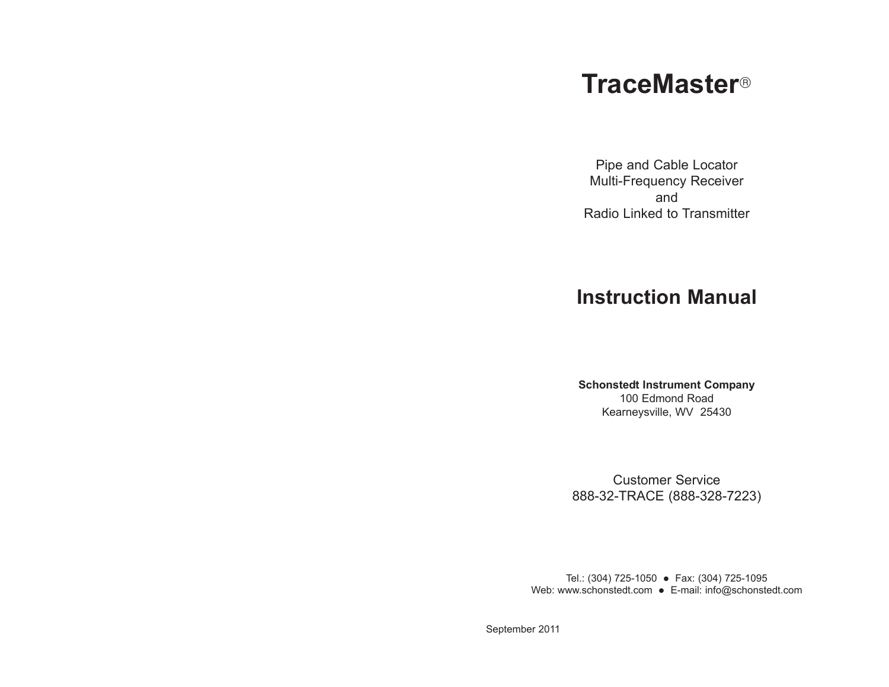# **TraceMaster**¤

Pipe and Cable Locator Multi-Frequency Receiver and Radio Linked to Transmitter

## **Instruction Manual**

**Schonstedt Instrument Company** 100 Edmond Road Kearneysville, WV 25430

Customer Service 888-32-TRACE (888-328-7223)

Tel.: (304) 725-1050 • Fax: (304) 725-1095 Web: www.schonstedt.com • E-mail: info@schonstedt.com

September 2011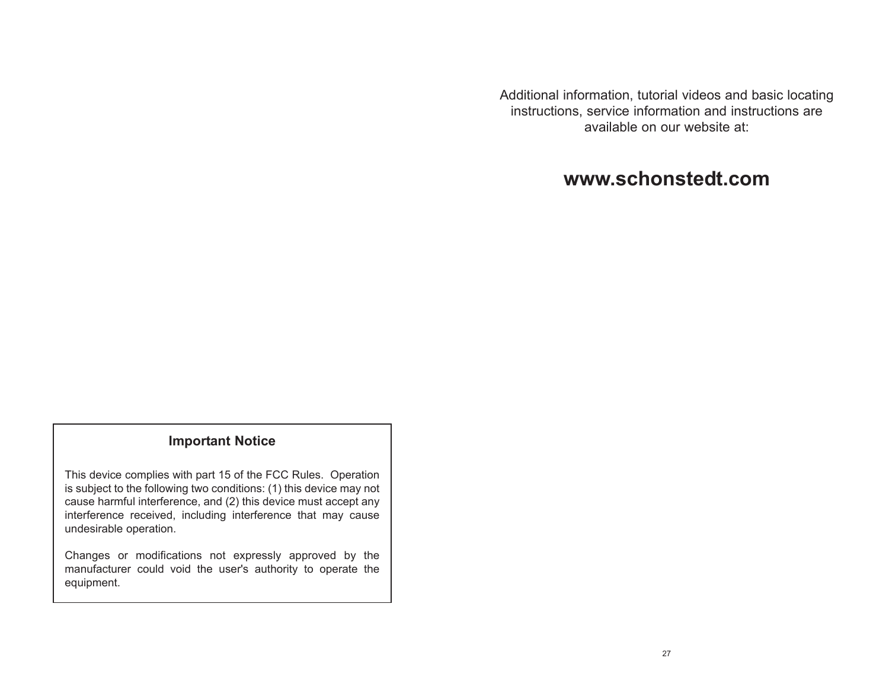Additional information, tutorial videos and basic locating instructions, service information and instructions are available on our website at:

## **www.schonstedt.com**

#### **Important Notice**

This device complies with part 15 of the FCC Rules. Operation is subject to the following two conditions: (1) this device may not cause harmful interference, and (2) this device must accept any interference received, including interference that may cause undesirable operation.

Changes or modifications not expressly approved by the manufacturer could void the user's authority to operate the equipment.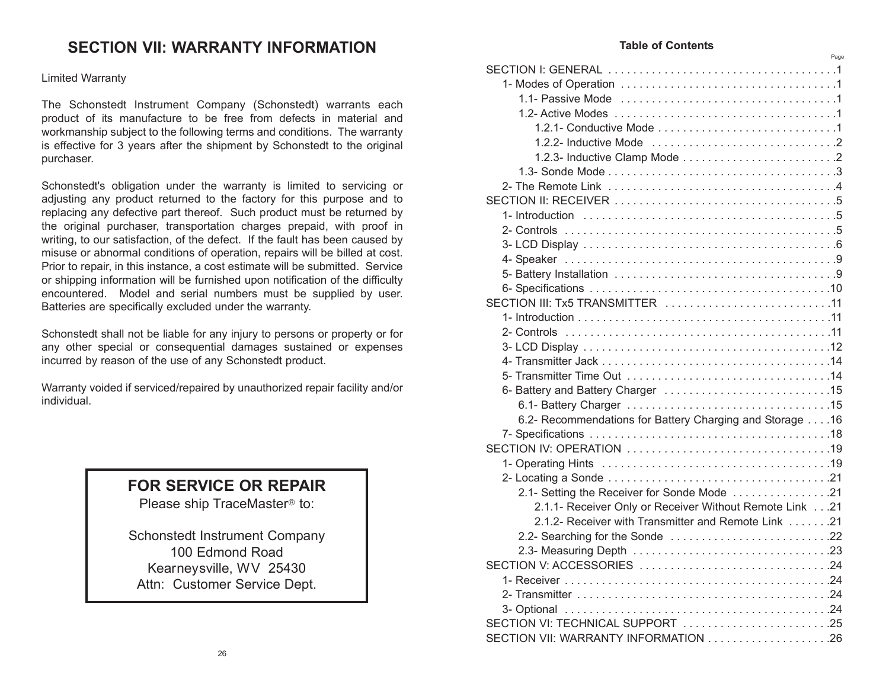### **SECTION VII: WARRANTY INFORMATION**

#### Limited Warranty

The Schonstedt Instrument Company (Schonstedt) warrants each product of its manufacture to be free from defects in material and workmanship subject to the following terms and conditions. The warranty is effective for 3 years after the shipment by Schonstedt to the original purchaser.

Schonstedt's obligation under the warranty is limited to servicing or adjusting any product returned to the factory for this purpose and to replacing any defective part thereof. Such product must be returned by the original purchaser, transportation charges prepaid, with proof in writing, to our satisfaction, of the defect. If the fault has been caused by misuse or abnormal conditions of operation, repairs will be billed at cost. Prior to repair, in this instance, a cost estimate will be submitted. Service or shipping information will be furnished upon notification of the difficulty encountered. Model and serial numbers must be supplied by user. Batteries are specifically excluded under the warranty.

Schonstedt shall not be liable for any injury to persons or property or for any other special or consequential damages sustained or expenses incurred by reason of the use of any Schonstedt product.

Warranty voided if serviced/repaired by unauthorized repair facility and/or individual.

### **FOR SERVICE OR REPAIR**

Please ship TraceMaster<sup>®</sup> to:

Schonstedt Instrument Company 100 Edmond Road Kearneysville, WV 25430 Attn: Customer Service Dept.

#### **Table of Contents**

Page

| SECTION III: Tx5 TRANSMITTER 11                          |  |
|----------------------------------------------------------|--|
|                                                          |  |
|                                                          |  |
|                                                          |  |
|                                                          |  |
|                                                          |  |
|                                                          |  |
|                                                          |  |
| 6.2- Recommendations for Battery Charging and Storage 16 |  |
|                                                          |  |
|                                                          |  |
|                                                          |  |
|                                                          |  |
| 2.1- Setting the Receiver for Sonde Mode 21              |  |
| 2.1.1- Receiver Only or Receiver Without Remote Link21   |  |
| 2.1.2- Receiver with Transmitter and Remote Link 21      |  |
|                                                          |  |
|                                                          |  |
|                                                          |  |
|                                                          |  |
|                                                          |  |
|                                                          |  |
|                                                          |  |
| SECTION VI: TECHNICAL SUPPORT 25                         |  |
| SECTION VII: WARRANTY INFORMATION 26                     |  |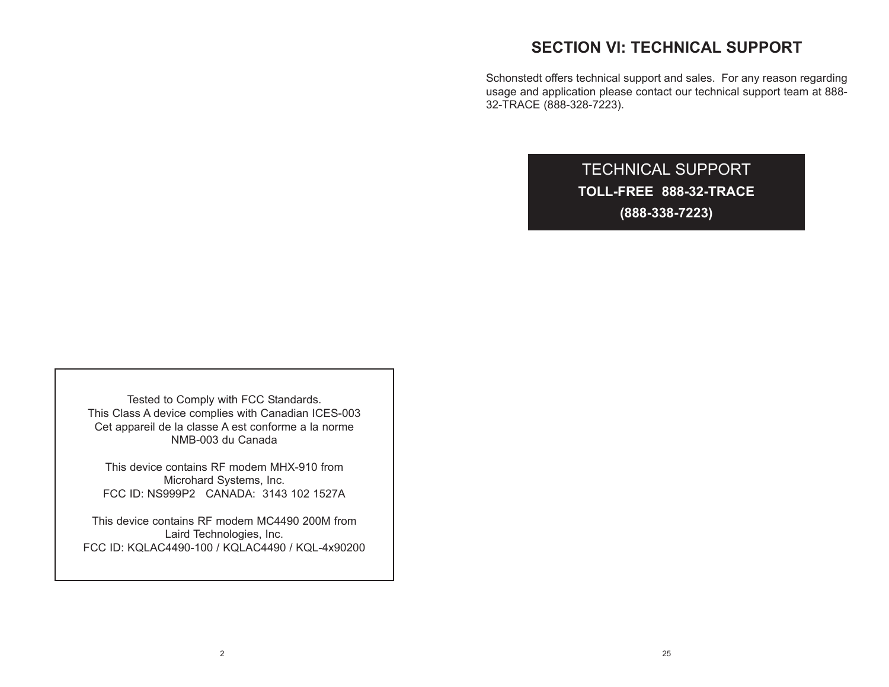### **SECTION VI: TECHNICAL SUPPORT**

Schonstedt offers technical support and sales. For any reason regarding usage and application please contact our technical support team at 888- 32-TRACE (888-328-7223).

> TECHNICAL SUPPORT **TOLL-FREE 888-32-TRACE (888-338-7223)**

Tested to Comply with FCC Standards. This Class A device complies with Canadian ICES-003 Cet appareil de la classe A est conforme a la norme NMB-003 du Canada

This device contains RF modem MHX-910 from Microhard Systems, Inc. FCC ID: NS999P2 CANADA: 3143 102 1527A

This device contains RF modem MC4490 200M from Laird Technologies, Inc. FCC ID: KQLAC4490-100 / KQLAC4490 / KQL-4x90200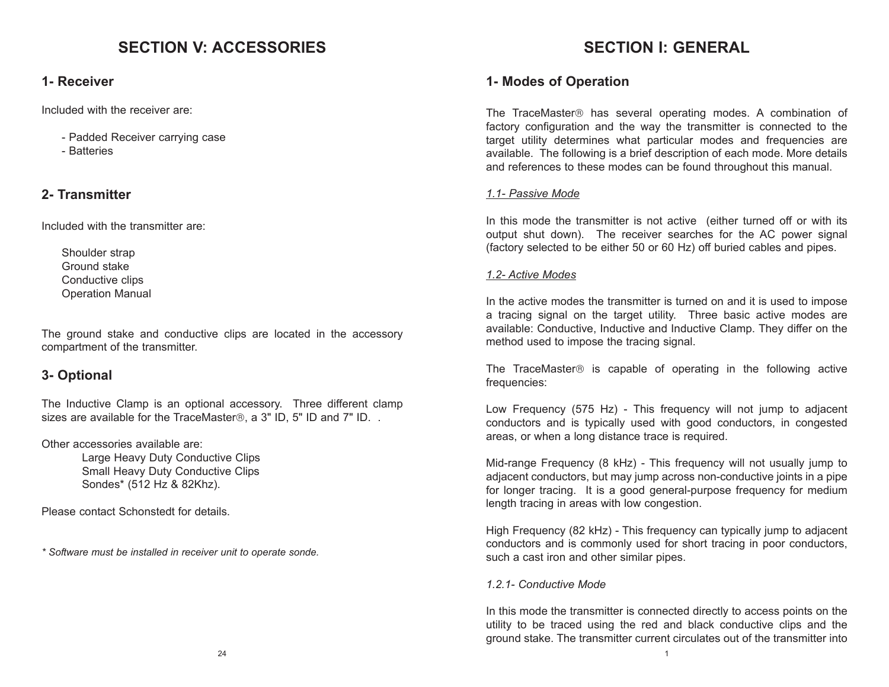### **SECTION V: ACCESSORIES**

### **1- Receiver**

Included with the receiver are:

- Padded Receiver carrying case
- Batteries

### **2- Transmitter**

Included with the transmitter are:

Shoulder strap Ground stake Conductive clips Operation Manual

The ground stake and conductive clips are located in the accessory compartment of the transmitter.

### **3- Optional**

The Inductive Clamp is an optional accessory. Three different clamp sizes are available for the TraceMaster®, a 3" ID, 5" ID and 7" ID. .

Other accessories available are:

Large Heavy Duty Conductive Clips Small Heavy Duty Conductive Clips Sondes\* (512 Hz & 82Khz).

Please contact Schonstedt for details.

*\* Software must be installed in receiver unit to operate sonde.*

## **SECTION I: GENERAL**

### **1- Modes of Operation**

The TraceMaster® has several operating modes. A combination of factory configuration and the way the transmitter is connected to the target utility determines what particular modes and frequencies are available. The following is a brief description of each mode. More details and references to these modes can be found throughout this manual.

### *1.1- Passive Mode*

In this mode the transmitter is not active (either turned off or with its output shut down). The receiver searches for the AC power signal (factory selected to be either 50 or 60 Hz) off buried cables and pipes.

### *1.2- Active Modes*

In the active modes the transmitter is turned on and it is used to impose a tracing signal on the target utility. Three basic active modes are available: Conductive, Inductive and Inductive Clamp. They differ on the method used to impose the tracing signal.

The TraceMaster® is capable of operating in the following active frequencies:

Low Frequency (575 Hz) - This frequency will not jump to adjacent conductors and is typically used with good conductors, in congested areas, or when a long distance trace is required.

Mid-range Frequency (8 kHz) - This frequency will not usually jump to adjacent conductors, but may jump across non-conductive joints in a pipe for longer tracing. It is a good general-purpose frequency for medium length tracing in areas with low congestion.

High Frequency (82 kHz) - This frequency can typically jump to adjacent conductors and is commonly used for short tracing in poor conductors, such a cast iron and other similar pipes.

### *1.2.1- Conductive Mode*

In this mode the transmitter is connected directly to access points on the utility to be traced using the red and black conductive clips and the ground stake. The transmitter current circulates out of the transmitter into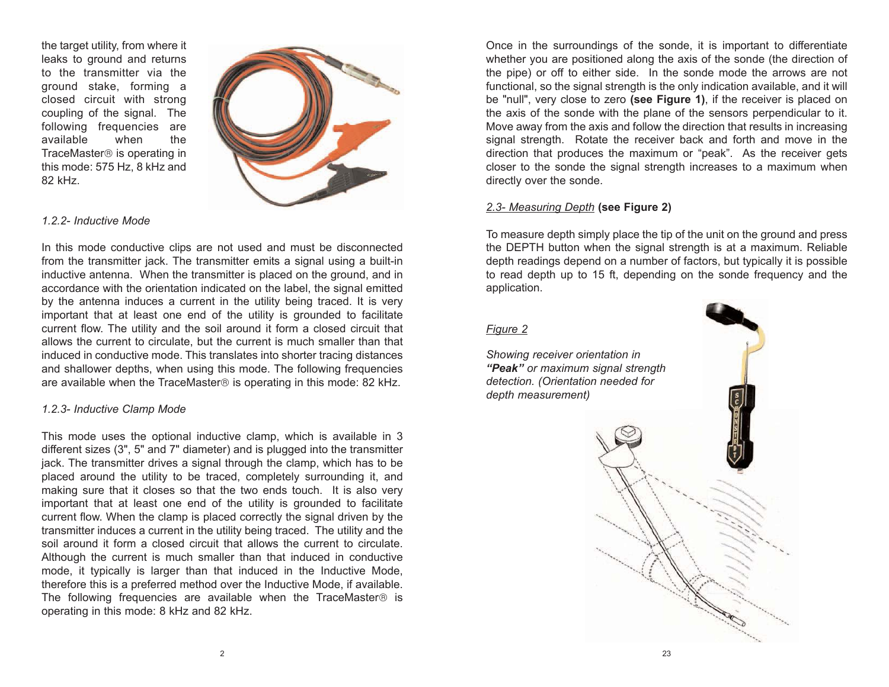the target utility, from where it leaks to ground and returns to the transmitter via the ground stake, forming a closed circuit with strong coupling of the signal. The following frequencies are available when the TraceMaster<sup>®</sup> is operating in this mode: 575 Hz, 8 kHz and 82 kHz.



#### *1.2.2- Inductive Mode*

In this mode conductive clips are not used and must be disconnected from the transmitter jack. The transmitter emits a signal using a built-in inductive antenna. When the transmitter is placed on the ground, and in accordance with the orientation indicated on the label, the signal emitted by the antenna induces a current in the utility being traced. It is very important that at least one end of the utility is grounded to facilitate current flow. The utility and the soil around it form a closed circuit that allows the current to circulate, but the current is much smaller than that induced in conductive mode. This translates into shorter tracing distances and shallower depths, when using this mode. The following frequencies are available when the TraceMaster® is operating in this mode: 82 kHz.

#### *1.2.3- Inductive Clamp Mode*

This mode uses the optional inductive clamp, which is available in 3 different sizes (3", 5" and 7" diameter) and is plugged into the transmitter jack. The transmitter drives a signal through the clamp, which has to be placed around the utility to be traced, completely surrounding it, and making sure that it closes so that the two ends touch. It is also very important that at least one end of the utility is grounded to facilitate current flow. When the clamp is placed correctly the signal driven by the transmitter induces a current in the utility being traced. The utility and the soil around it form a closed circuit that allows the current to circulate. Although the current is much smaller than that induced in conductive mode, it typically is larger than that induced in the Inductive Mode, therefore this is a preferred method over the Inductive Mode, if available. The following frequencies are available when the TraceMaster $\circledast$  is operating in this mode: 8 kHz and 82 kHz.

Once in the surroundings of the sonde, it is important to differentiate whether you are positioned along the axis of the sonde (the direction of the pipe) or off to either side. In the sonde mode the arrows are not functional, so the signal strength is the only indication available, and it will be "null", very close to zero **(see Figure 1)**, if the receiver is placed on the axis of the sonde with the plane of the sensors perpendicular to it. Move away from the axis and follow the direction that results in increasing signal strength. Rotate the receiver back and forth and move in the direction that produces the maximum or "peak". As the receiver gets closer to the sonde the signal strength increases to a maximum when directly over the sonde.

#### *2.3- Measuring Depth* **(see Figure 2)**

To measure depth simply place the tip of the unit on the ground and press the DEPTH button when the signal strength is at a maximum. Reliable depth readings depend on a number of factors, but typically it is possible to read depth up to 15 ft, depending on the sonde frequency and the application.

#### *Figure 2*

*Showing receiver orientation in "Peak" or maximum signal strength detection. (Orientation needed for depth measurement)*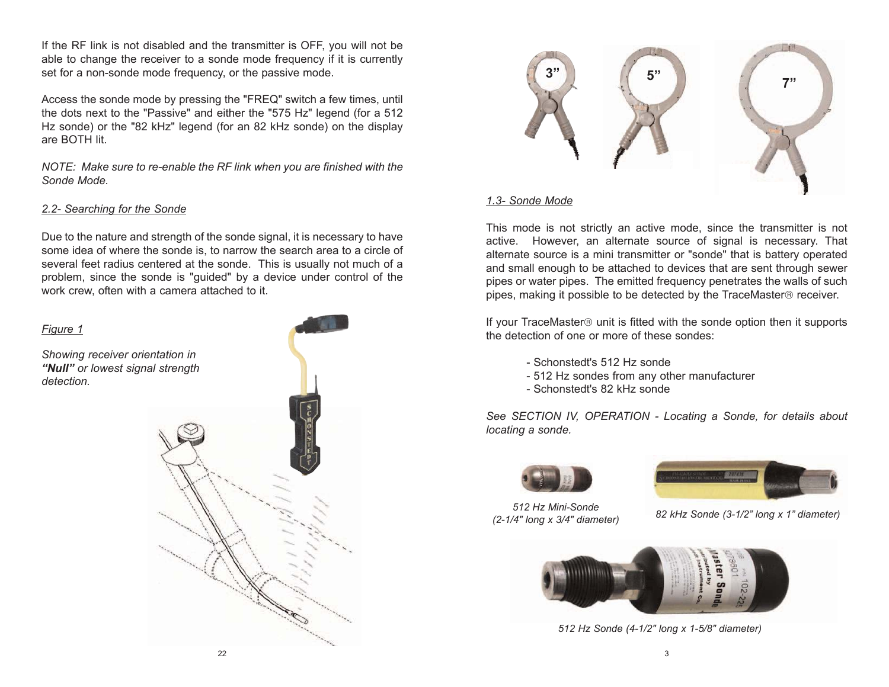If the RF link is not disabled and the transmitter is OFF, you will not be able to change the receiver to a sonde mode frequency if it is currently set for a non-sonde mode frequency, or the passive mode.

Access the sonde mode by pressing the "FREQ" switch a few times, until the dots next to the "Passive" and either the "575 Hz" legend (for a 512 Hz sonde) or the "82 kHz" legend (for an 82 kHz sonde) on the display are BOTH lit.

*NOTE: Make sure to re-enable the RF link when you are finished with the Sonde Mode.*

#### *2.2- Searching for the Sonde*

Due to the nature and strength of the sonde signal, it is necessary to have some idea of where the sonde is, to narrow the search area to a circle of several feet radius centered at the sonde. This is usually not much of a problem, since the sonde is "guided" by a device under control of the work crew, often with a camera attached to it.





#### *1.3- Sonde Mode*

This mode is not strictly an active mode, since the transmitter is not active. However, an alternate source of signal is necessary. That alternate source is a mini transmitter or "sonde" that is battery operated and small enough to be attached to devices that are sent through sewer pipes or water pipes. The emitted frequency penetrates the walls of such pipes, making it possible to be detected by the TraceMaster® receiver.

If your TraceMaster<sup>®</sup> unit is fitted with the sonde option then it supports the detection of one or more of these sondes:

- Schonstedt's 512 Hz sonde
- 512 Hz sondes from any other manufacturer
- Schonstedt's 82 kHz sonde

*See SECTION IV, OPERATION - Locating a Sonde, for details about locating a sonde.*





*512 Hz Mini-Sonde* 

*(2-1/4" long x 3/4" diameter) 82 kHz Sonde (3-1/2" long x 1" diameter)*



*512 Hz Sonde (4-1/2" long x 1-5/8" diameter)*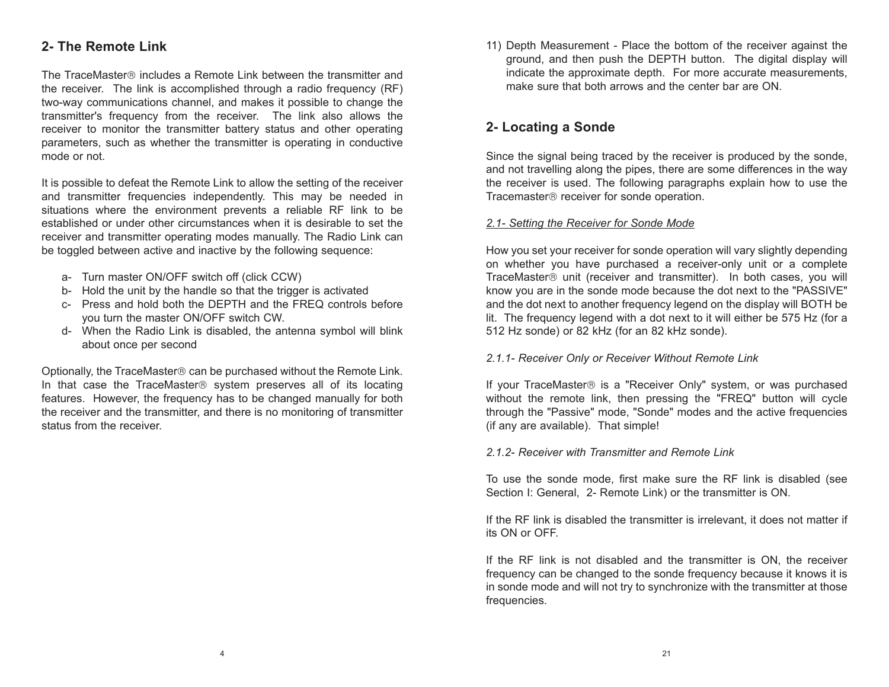### **2- The Remote Link**

The TraceMaster® includes a Remote Link between the transmitter and the receiver. The link is accomplished through a radio frequency (RF) two-way communications channel, and makes it possible to change the transmitter's frequency from the receiver. The link also allows the receiver to monitor the transmitter battery status and other operating parameters, such as whether the transmitter is operating in conductive mode or not.

It is possible to defeat the Remote Link to allow the setting of the receiver and transmitter frequencies independently. This may be needed in situations where the environment prevents a reliable RF link to be established or under other circumstances when it is desirable to set the receiver and transmitter operating modes manually. The Radio Link can be toggled between active and inactive by the following sequence:

- a- Turn master ON/OFF switch off (click CCW)
- b- Hold the unit by the handle so that the trigger is activated
- c- Press and hold both the DEPTH and the FREQ controls before you turn the master ON/OFF switch CW.
- d- When the Radio Link is disabled, the antenna symbol will blink about once per second

Optionally, the TraceMaster® can be purchased without the Remote Link. In that case the TraceMaster® system preserves all of its locating features. However, the frequency has to be changed manually for both the receiver and the transmitter, and there is no monitoring of transmitter status from the receiver.

11) Depth Measurement - Place the bottom of the receiver against the ground, and then push the DEPTH button. The digital display will indicate the approximate depth. For more accurate measurements, make sure that both arrows and the center bar are ON.

### **2- Locating a Sonde**

Since the signal being traced by the receiver is produced by the sonde, and not travelling along the pipes, there are some differences in the way the receiver is used. The following paragraphs explain how to use the Tracemaster® receiver for sonde operation.

#### *2.1- Setting the Receiver for Sonde Mode*

How you set your receiver for sonde operation will vary slightly depending on whether you have purchased a receiver-only unit or a complete TraceMaster<sup>®</sup> unit (receiver and transmitter). In both cases, you will know you are in the sonde mode because the dot next to the "PASSIVE" and the dot next to another frequency legend on the display will BOTH be lit. The frequency legend with a dot next to it will either be 575 Hz (for a 512 Hz sonde) or 82 kHz (for an 82 kHz sonde).

#### *2.1.1- Receiver Only or Receiver Without Remote Link*

If your TraceMaster<sup>®</sup> is a "Receiver Only" system, or was purchased without the remote link, then pressing the "FREQ" button will cycle through the "Passive" mode, "Sonde" modes and the active frequencies (if any are available). That simple!

#### *2.1.2- Receiver with Transmitter and Remote Link*

To use the sonde mode, first make sure the RF link is disabled (see Section I: General, 2- Remote Link) or the transmitter is ON.

If the RF link is disabled the transmitter is irrelevant, it does not matter if its ON or OFF.

If the RF link is not disabled and the transmitter is ON, the receiver frequency can be changed to the sonde frequency because it knows it is in sonde mode and will not try to synchronize with the transmitter at those frequencies.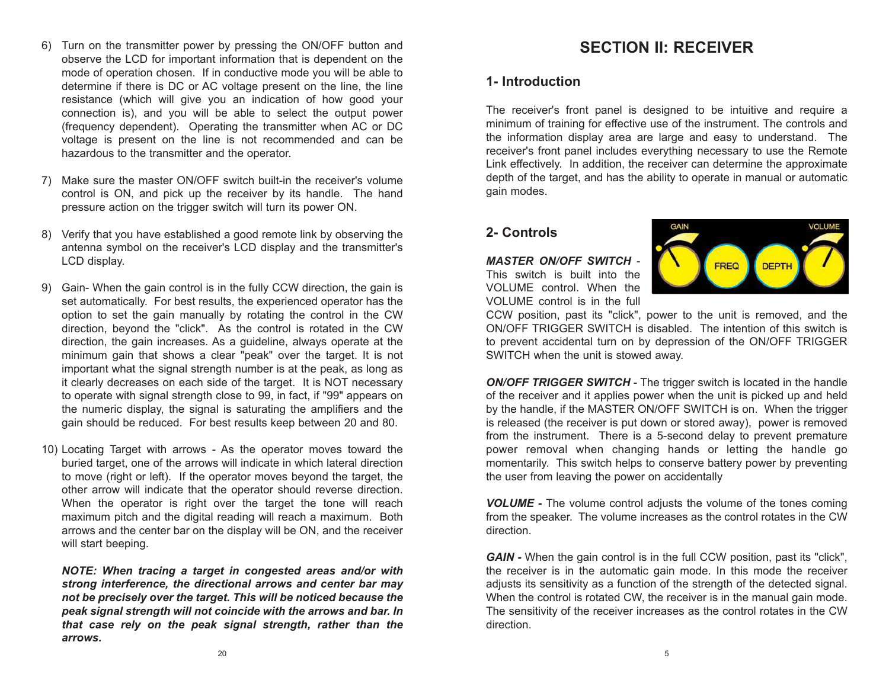- 6) Turn on the transmitter power by pressing the ON/OFF button and observe the LCD for important information that is dependent on the mode of operation chosen. If in conductive mode you will be able to determine if there is DC or AC voltage present on the line, the line resistance (which will give you an indication of how good your connection is), and you will be able to select the output power (frequency dependent). Operating the transmitter when AC or DC voltage is present on the line is not recommended and can be hazardous to the transmitter and the operator.
- 7) Make sure the master ON/OFF switch built-in the receiver's volume control is ON, and pick up the receiver by its handle. The hand pressure action on the trigger switch will turn its power ON.
- 8) Verify that you have established a good remote link by observing the antenna symbol on the receiver's LCD display and the transmitter's LCD display.
- 9) Gain- When the gain control is in the fully CCW direction, the gain is set automatically. For best results, the experienced operator has the option to set the gain manually by rotating the control in the CW direction, beyond the "click". As the control is rotated in the CW direction, the gain increases. As a guideline, always operate at the minimum gain that shows a clear "peak" over the target. It is not important what the signal strength number is at the peak, as long as it clearly decreases on each side of the target. It is NOT necessary to operate with signal strength close to 99, in fact, if "99" appears on the numeric display, the signal is saturating the amplifiers and the gain should be reduced. For best results keep between 20 and 80.
- 10) Locating Target with arrows As the operator moves toward the buried target, one of the arrows will indicate in which lateral direction to move (right or left). If the operator moves beyond the target, the other arrow will indicate that the operator should reverse direction. When the operator is right over the target the tone will reach maximum pitch and the digital reading will reach a maximum. Both arrows and the center bar on the display will be ON, and the receiver will start beeping.

*NOTE: When tracing a target in congested areas and/or with strong interference, the directional arrows and center bar may not be precisely over the target. This will be noticed because the peak signal strength will not coincide with the arrows and bar. In that case rely on the peak signal strength, rather than the arrows.*

### **SECTION II: RECEIVER**

### **1- Introduction**

The receiver's front panel is designed to be intuitive and require a minimum of training for effective use of the instrument. The controls and the information display area are large and easy to understand. The receiver's front panel includes everything necessary to use the Remote Link effectively. In addition, the receiver can determine the approximate depth of the target, and has the ability to operate in manual or automatic gain modes.

### **2- Controls**

*MASTER ON/OFF SWITCH* - This switch is built into the VOLUME control. When the VOLUME control is in the full



CCW position, past its "click", power to the unit is removed, and the ON/OFF TRIGGER SWITCH is disabled. The intention of this switch is to prevent accidental turn on by depression of the ON/OFF TRIGGER SWITCH when the unit is stowed away.

*ON/OFF TRIGGER SWITCH* - The trigger switch is located in the handle of the receiver and it applies power when the unit is picked up and held by the handle, if the MASTER ON/OFF SWITCH is on. When the trigger is released (the receiver is put down or stored away), power is removed from the instrument. There is a 5-second delay to prevent premature power removal when changing hands or letting the handle go momentarily. This switch helps to conserve battery power by preventing the user from leaving the power on accidentally

*VOLUME -* The volume control adjusts the volume of the tones coming from the speaker. The volume increases as the control rotates in the CW direction.

*GAIN -* When the gain control is in the full CCW position, past its "click", the receiver is in the automatic gain mode. In this mode the receiver adjusts its sensitivity as a function of the strength of the detected signal. When the control is rotated CW, the receiver is in the manual gain mode. The sensitivity of the receiver increases as the control rotates in the CW direction.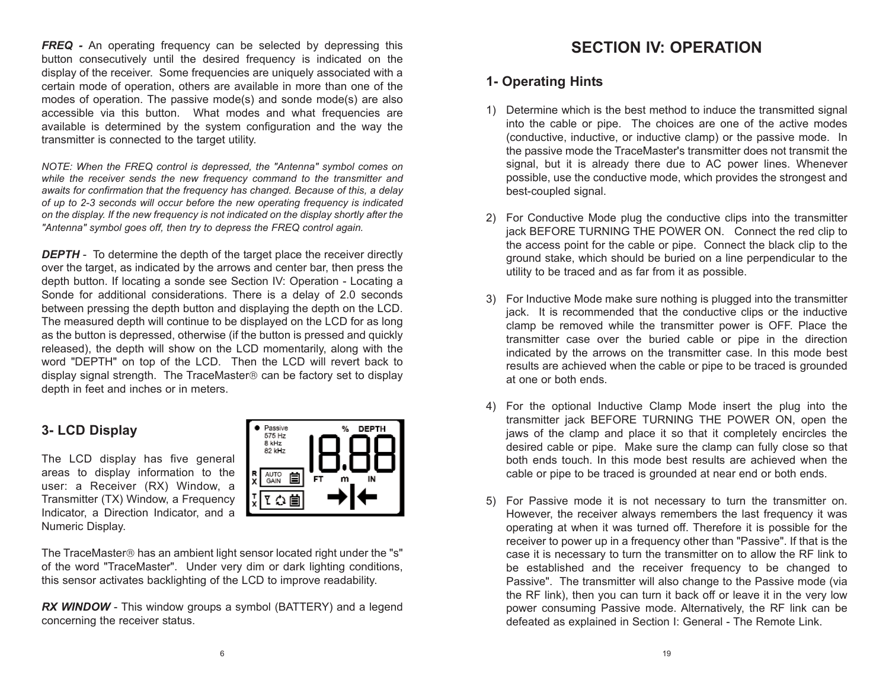**FREQ** - An operating frequency can be selected by depressing this button consecutively until the desired frequency is indicated on the display of the receiver. Some frequencies are uniquely associated with a certain mode of operation, others are available in more than one of the modes of operation. The passive mode(s) and sonde mode(s) are also accessible via this button. What modes and what frequencies are available is determined by the system configuration and the way the transmitter is connected to the target utility.

*NOTE: When the FREQ control is depressed, the "Antenna" symbol comes on while the receiver sends the new frequency command to the transmitter and awaits for confirmation that the frequency has changed. Because of this, a delay of up to 2-3 seconds will occur before the new operating frequency is indicated on the display. If the new frequency is not indicated on the display shortly after the "Antenna" symbol goes off, then try to depress the FREQ control again.* 

**DEPTH** - To determine the depth of the target place the receiver directly over the target, as indicated by the arrows and center bar, then press the depth button. If locating a sonde see Section IV: Operation - Locating a Sonde for additional considerations. There is a delay of 2.0 seconds between pressing the depth button and displaying the depth on the LCD. The measured depth will continue to be displayed on the LCD for as long as the button is depressed, otherwise (if the button is pressed and quickly released), the depth will show on the LCD momentarily, along with the word "DEPTH" on top of the LCD. Then the LCD will revert back to display signal strength. The TraceMaster® can be factory set to display depth in feet and inches or in meters.

### **3- LCD Display**

The LCD display has five general areas to display information to the user: a Receiver (RX) Window, a Transmitter (TX) Window, a Frequency Indicator, a Direction Indicator, and a Numeric Display.



The TraceMaster® has an ambient light sensor located right under the "s" of the word "TraceMaster". Under very dim or dark lighting conditions, this sensor activates backlighting of the LCD to improve readability.

*RX WINDOW* - This window groups a symbol (BATTERY) and a legend concerning the receiver status.

### **SECTION IV: OPERATION**

### **1- Operating Hints**

- 1) Determine which is the best method to induce the transmitted signal into the cable or pipe. The choices are one of the active modes (conductive, inductive, or inductive clamp) or the passive mode. In the passive mode the TraceMaster's transmitter does not transmit the signal, but it is already there due to AC power lines. Whenever possible, use the conductive mode, which provides the strongest and best-coupled signal.
- 2) For Conductive Mode plug the conductive clips into the transmitter jack BEFORE TURNING THE POWER ON. Connect the red clip to the access point for the cable or pipe. Connect the black clip to the ground stake, which should be buried on a line perpendicular to the utility to be traced and as far from it as possible.
- 3) For Inductive Mode make sure nothing is plugged into the transmitter jack. It is recommended that the conductive clips or the inductive clamp be removed while the transmitter power is OFF. Place the transmitter case over the buried cable or pipe in the direction indicated by the arrows on the transmitter case. In this mode best results are achieved when the cable or pipe to be traced is grounded at one or both ends.
- 4) For the optional Inductive Clamp Mode insert the plug into the transmitter jack BEFORE TURNING THE POWER ON, open the jaws of the clamp and place it so that it completely encircles the desired cable or pipe. Make sure the clamp can fully close so that both ends touch. In this mode best results are achieved when the cable or pipe to be traced is grounded at near end or both ends.
- 5) For Passive mode it is not necessary to turn the transmitter on. However, the receiver always remembers the last frequency it was operating at when it was turned off. Therefore it is possible for the receiver to power up in a frequency other than "Passive". If that is the case it is necessary to turn the transmitter on to allow the RF link to be established and the receiver frequency to be changed to Passive". The transmitter will also change to the Passive mode (via the RF link), then you can turn it back off or leave it in the very low power consuming Passive mode. Alternatively, the RF link can be defeated as explained in Section I: General - The Remote Link.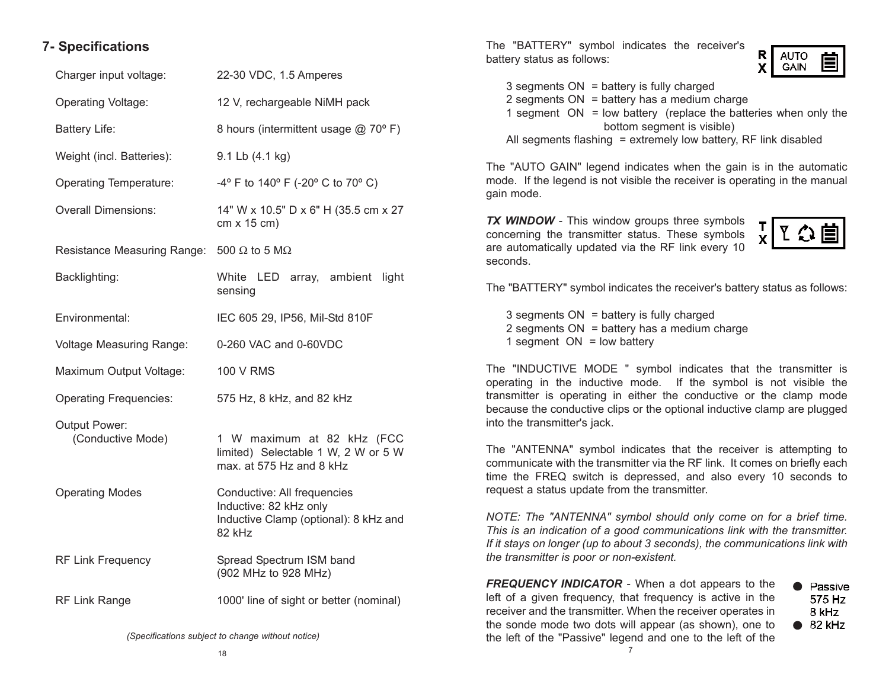### **7- Specifications**

| 22-30 VDC, 1.5 Amperes                                                                                   |
|----------------------------------------------------------------------------------------------------------|
| 12 V, rechargeable NiMH pack                                                                             |
| 8 hours (intermittent usage @ 70°F)                                                                      |
| 9.1 Lb (4.1 kg)                                                                                          |
| -4° F to 140° F (-20° C to 70° C)                                                                        |
| 14" W x 10.5" D x 6" H (35.5 cm x 27<br>$cm \times 15$ cm)                                               |
| Resistance Measuring Range: 500 $\Omega$ to 5 M $\Omega$                                                 |
| White LED array, ambient<br>light<br>sensing                                                             |
| IEC 605 29, IP56, Mil-Std 810F                                                                           |
| 0-260 VAC and 0-60VDC                                                                                    |
| <b>100 V RMS</b>                                                                                         |
| 575 Hz, 8 kHz, and 82 kHz                                                                                |
| 1 W maximum at 82 kHz (FCC<br>limited) Selectable 1 W, 2 W or 5 W<br>max. at 575 Hz and 8 kHz            |
| Conductive: All frequencies<br>Inductive: 82 kHz only<br>Inductive Clamp (optional): 8 kHz and<br>82 kHz |
| Spread Spectrum ISM band<br>(902 MHz to 928 MHz)                                                         |
| 1000' line of sight or better (nominal)                                                                  |
|                                                                                                          |

The "BATTERY" symbol indicates the receiver's battery status as follows:



 $3$  segments  $ON =$  battery is fully charged 2 segments  $ON = battery$  has a medium charge 1 segment  $ON = low$  battery (replace the batteries when only the bottom segment is visible) All segments flashing  $=$  extremely low battery, RF link disabled

The "AUTO GAIN" legend indicates when the gain is in the automatic mode. If the legend is not visible the receiver is operating in the manual gain mode.

**TX WINDOW** - This window groups three symbols concerning the transmitter status. These symbols are automatically updated via the RF link every 10 seconds.



The "BATTERY" symbol indicates the receiver's battery status as follows:

3 segments ON = battery is fully charged 2 segments  $ON =$  battery has a medium charge 1 segment  $ON = low$  battery

The "INDUCTIVE MODE " symbol indicates that the transmitter is operating in the inductive mode. If the symbol is not visible the transmitter is operating in either the conductive or the clamp mode because the conductive clips or the optional inductive clamp are plugged into the transmitter's jack.

The "ANTENNA" symbol indicates that the receiver is attempting to communicate with the transmitter via the RF link. It comes on briefly each time the FREQ switch is depressed, and also every 10 seconds to request a status update from the transmitter.

*NOTE: The "ANTENNA" symbol should only come on for a brief time. This is an indication of a good communications link with the transmitter. If it stays on longer (up to about 3 seconds), the communications link with the transmitter is poor or non-existent.* 

7 *FREQUENCY INDICATOR* - When a dot appears to the left of a given frequency, that frequency is active in the receiver and the transmitter. When the receiver operates in the sonde mode two dots will appear (as shown), one to the left of the "Passive" legend and one to the left of the

• Passive 575 Hz 8 kHz  $\bullet$  82 kHz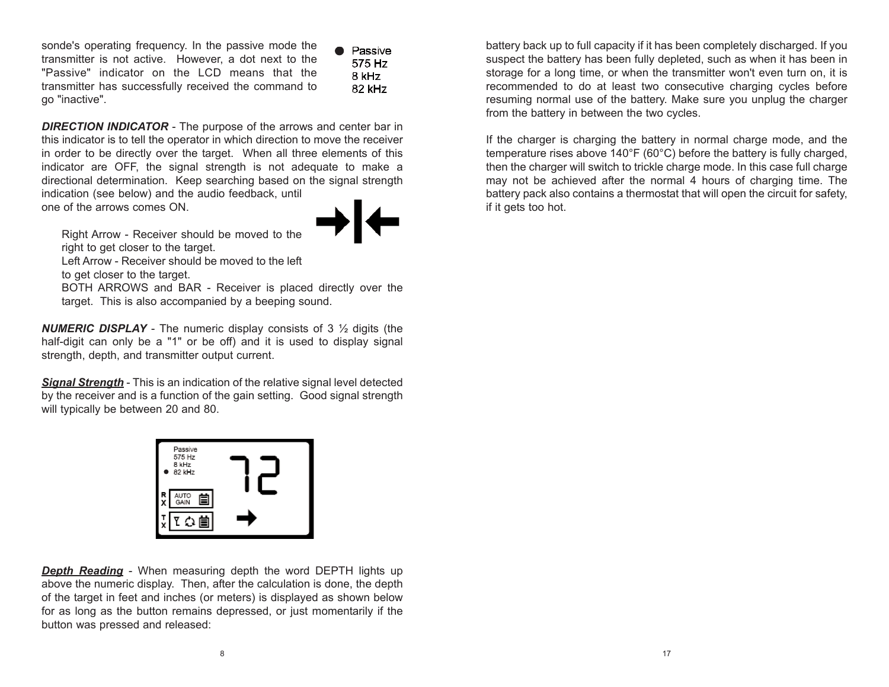sonde's operating frequency. In the passive mode the transmitter is not active. However, a dot next to the "Passive" indicator on the LCD means that the transmitter has successfully received the command to go "inactive".

**A** Passive 575 Hz 8 kHz 82 kHz

**DIRECTION INDICATOR** - The purpose of the arrows and center bar in this indicator is to tell the operator in which direction to move the receiver in order to be directly over the target. When all three elements of this indicator are OFF, the signal strength is not adequate to make a directional determination. Keep searching based on the signal strength indication (see below) and the audio feedback, until one of the arrows comes ON.



Right Arrow - Receiver should be moved to the right to get closer to the target.

Left Arrow - Receiver should be moved to the left

to get closer to the target.

BOTH ARROWS and BAR - Receiver is placed directly over the target. This is also accompanied by a beeping sound.

*NUMERIC DISPLAY* - The numeric display consists of 3 ½ digits (the half-digit can only be a "1" or be off) and it is used to display signal strength, depth, and transmitter output current.

*Signal Strength* - This is an indication of the relative signal level detected by the receiver and is a function of the gain setting. Good signal strength will typically be between 20 and 80.



*Depth Reading* - When measuring depth the word DEPTH lights up above the numeric display. Then, after the calculation is done, the depth of the target in feet and inches (or meters) is displayed as shown below for as long as the button remains depressed, or just momentarily if the button was pressed and released:

battery back up to full capacity if it has been completely discharged. If you suspect the battery has been fully depleted, such as when it has been in storage for a long time, or when the transmitter won't even turn on, it is recommended to do at least two consecutive charging cycles before resuming normal use of the battery. Make sure you unplug the charger from the battery in between the two cycles.

If the charger is charging the battery in normal charge mode, and the temperature rises above 140°F (60°C) before the battery is fully charged, then the charger will switch to trickle charge mode. In this case full charge may not be achieved after the normal 4 hours of charging time. The battery pack also contains a thermostat that will open the circuit for safety, if it gets too hot.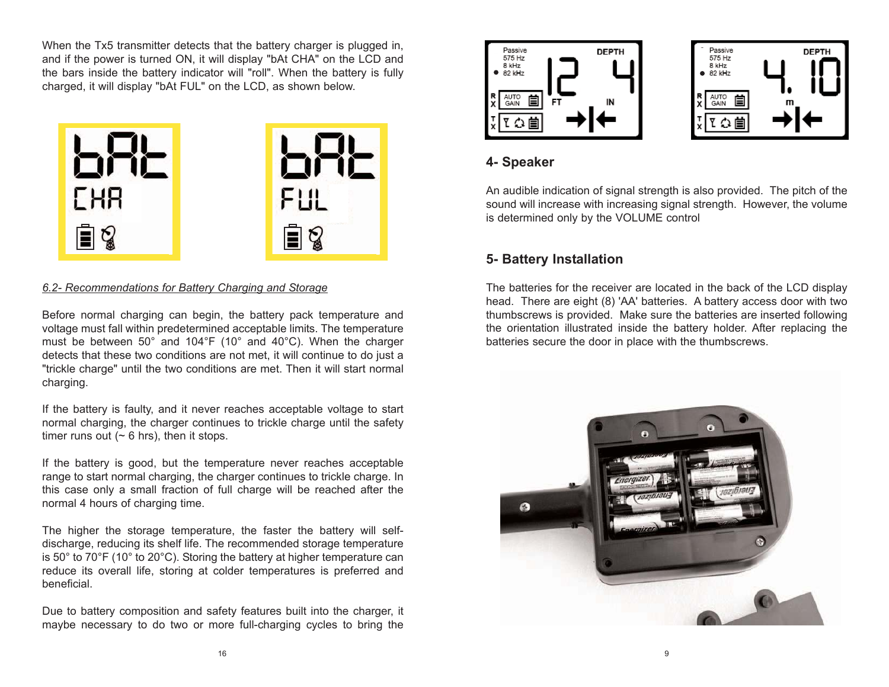When the Tx5 transmitter detects that the battery charger is plugged in, and if the power is turned ON, it will display "bAt CHA" on the LCD and the bars inside the battery indicator will "roll". When the battery is fully charged, it will display "bAt FUL" on the LCD, as shown below.



#### *6.2- Recommendations for Battery Charging and Storage*

Before normal charging can begin, the battery pack temperature and voltage must fall within predetermined acceptable limits. The temperature must be between 50° and 104°F (10° and 40°C). When the charger detects that these two conditions are not met, it will continue to do just a "trickle charge" until the two conditions are met. Then it will start normal charging.

If the battery is faulty, and it never reaches acceptable voltage to start normal charging, the charger continues to trickle charge until the safety timer runs out ( $\sim$  6 hrs), then it stops.

If the battery is good, but the temperature never reaches acceptable range to start normal charging, the charger continues to trickle charge. In this case only a small fraction of full charge will be reached after the normal 4 hours of charging time.

The higher the storage temperature, the faster the battery will selfdischarge, reducing its shelf life. The recommended storage temperature is 50° to 70°F (10° to 20°C). Storing the battery at higher temperature can reduce its overall life, storing at colder temperatures is preferred and beneficial.

Due to battery composition and safety features built into the charger, it maybe necessary to do two or more full-charging cycles to bring the





### **4- Speaker**

An audible indication of signal strength is also provided. The pitch of the sound will increase with increasing signal strength. However, the volume is determined only by the VOLUME control

### **5- Battery Installation**

The batteries for the receiver are located in the back of the LCD display head. There are eight (8) 'AA' batteries. A battery access door with two thumbscrews is provided. Make sure the batteries are inserted following the orientation illustrated inside the battery holder. After replacing the batteries secure the door in place with the thumbscrews.

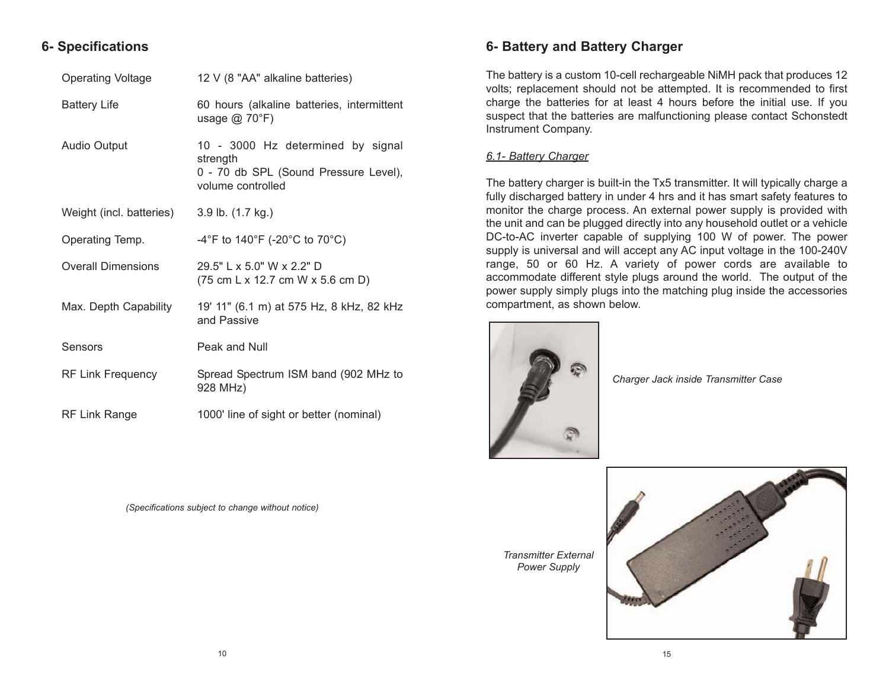### **6- Specifications**

| <b>Operating Voltage</b>  | 12 V (8 "AA" alkaline batteries)                                                                            |
|---------------------------|-------------------------------------------------------------------------------------------------------------|
| <b>Battery Life</b>       | 60 hours (alkaline batteries, intermittent<br>usage $@$ 70 $°F$ )                                           |
| <b>Audio Output</b>       | 10 - 3000 Hz determined by signal<br>strength<br>0 - 70 db SPL (Sound Pressure Level),<br>volume controlled |
| Weight (incl. batteries)  | 3.9 lb. (1.7 kg.)                                                                                           |
| Operating Temp.           | -4°F to 140°F (-20°C to 70°C)                                                                               |
| <b>Overall Dimensions</b> | 29.5" L x 5.0" W x 2.2" D<br>$(75 \text{ cm L} \times 12.7 \text{ cm W} \times 5.6 \text{ cm D})$           |
| Max. Depth Capability     | 19' 11" (6.1 m) at 575 Hz, 8 kHz, 82 kHz<br>and Passive                                                     |
| Sensors                   | Peak and Null                                                                                               |
| <b>RF Link Frequency</b>  | Spread Spectrum ISM band (902 MHz to<br>928 MHz)                                                            |
| <b>RF Link Range</b>      | 1000' line of sight or better (nominal)                                                                     |

*(Specifications subject to change without notice)*

### **6- Battery and Battery Charger**

The battery is a custom 10-cell rechargeable NiMH pack that produces 12 volts; replacement should not be attempted. It is recommended to first charge the batteries for at least 4 hours before the initial use. If you suspect that the batteries are malfunctioning please contact Schonstedt Instrument Company.

#### *6.1- Battery Charger*

The battery charger is built-in the Tx5 transmitter. It will typically charge a fully discharged battery in under 4 hrs and it has smart safety features to monitor the charge process. An external power supply is provided with the unit and can be plugged directly into any household outlet or a vehicle DC-to-AC inverter capable of supplying 100 W of power. The power supply is universal and will accept any AC input voltage in the 100-240V range, 50 or 60 Hz. A variety of power cords are available to accommodate different style plugs around the world. The output of the power supply simply plugs into the matching plug inside the accessories compartment, as shown below.



*Charger Jack inside Transmitter Case*

*Transmitter External Power Supply*

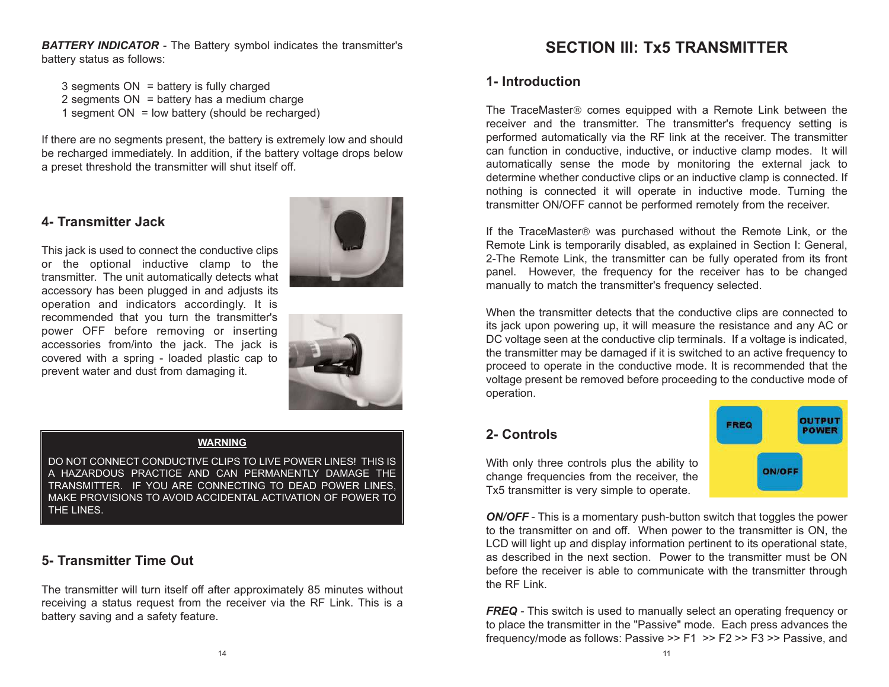**BATTERY INDICATOR** - The Battery symbol indicates the transmitter's battery status as follows:

3 segments ON = battery is fully charged 2 segments  $ON = battery$  has a medium charge

1 segment  $ON = low$  battery (should be recharged)

If there are no segments present, the battery is extremely low and should be recharged immediately. In addition, if the battery voltage drops below a preset threshold the transmitter will shut itself off.

#### **4- Transmitter Jack**



This jack is used to connect the conductive clips or the optional inductive clamp to the transmitter. The unit automatically detects what accessory has been plugged in and adjusts its operation and indicators accordingly. It is recommended that you turn the transmitter's power OFF before removing or inserting accessories from/into the jack. The jack is covered with a spring - loaded plastic cap to prevent water and dust from damaging it.

### **WARNING**

DO NOT CONNECT CONDUCTIVE CLIPS TO LIVE POWER LINES! THIS IS A HAZARDOUS PRACTICE AND CAN PERMANENTLY DAMAGE THE TRANSMITTER. IF YOU ARE CONNECTING TO DEAD POWER LINES, MAKE PROVISIONS TO AVOID ACCIDENTAL ACTIVATION OF POWER TO THE LINES.

### **5- Transmitter Time Out**

The transmitter will turn itself off after approximately 85 minutes without receiving a status request from the receiver via the RF Link. This is a battery saving and a safety feature.

### **SECTION III: Tx5 TRANSMITTER**

### **1- Introduction**

The TraceMaster<sup>®</sup> comes equipped with a Remote Link between the receiver and the transmitter. The transmitter's frequency setting is performed automatically via the RF link at the receiver. The transmitter can function in conductive, inductive, or inductive clamp modes. It will automatically sense the mode by monitoring the external jack to determine whether conductive clips or an inductive clamp is connected. If nothing is connected it will operate in inductive mode. Turning the transmitter ON/OFF cannot be performed remotely from the receiver.

If the TraceMaster® was purchased without the Remote Link, or the Remote Link is temporarily disabled, as explained in Section I: General, 2-The Remote Link, the transmitter can be fully operated from its front panel. However, the frequency for the receiver has to be changed manually to match the transmitter's frequency selected.

When the transmitter detects that the conductive clips are connected to its jack upon powering up, it will measure the resistance and any AC or DC voltage seen at the conductive clip terminals. If a voltage is indicated, the transmitter may be damaged if it is switched to an active frequency to proceed to operate in the conductive mode. It is recommended that the voltage present be removed before proceeding to the conductive mode of operation.

### **2- Controls**



With only three controls plus the ability to change frequencies from the receiver, the Tx5 transmitter is very simple to operate.

*ON/OFF* - This is a momentary push-button switch that toggles the power to the transmitter on and off. When power to the transmitter is ON, the LCD will light up and display information pertinent to its operational state, as described in the next section. Power to the transmitter must be ON before the receiver is able to communicate with the transmitter through the RF Link.

**FREQ** - This switch is used to manually select an operating frequency or to place the transmitter in the "Passive" mode. Each press advances the frequency/mode as follows: Passive >> F1 >> F2 >> F3 >> Passive, and